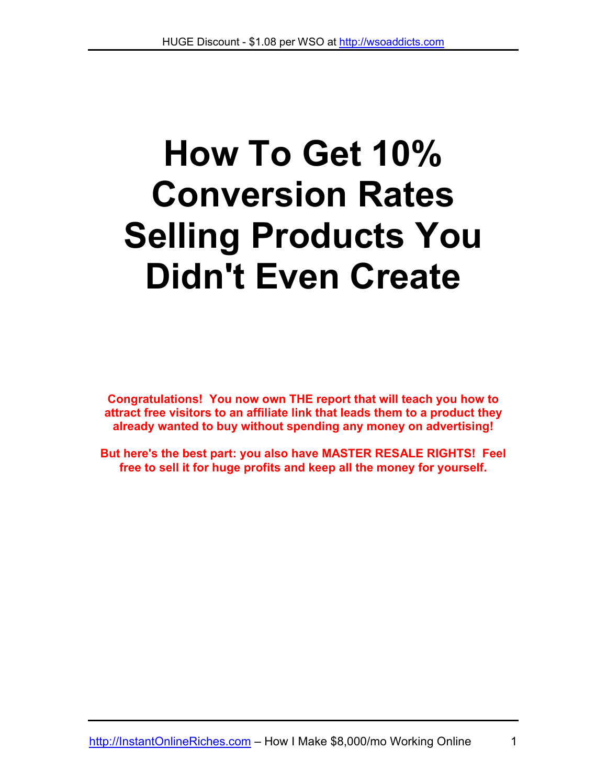# **How To Get 10% Conversion Rates Selling Products You Didn't Even Create**

**Congratulations! You now own THE report that will teach you how to attract free visitors to an affiliate link that leads them to a product they already wanted to buy without spending any money on advertising!**

**But here's the best part: you also have MASTER RESALE RIGHTS! Feel free to sell it for huge profits and keep all the money for yourself.**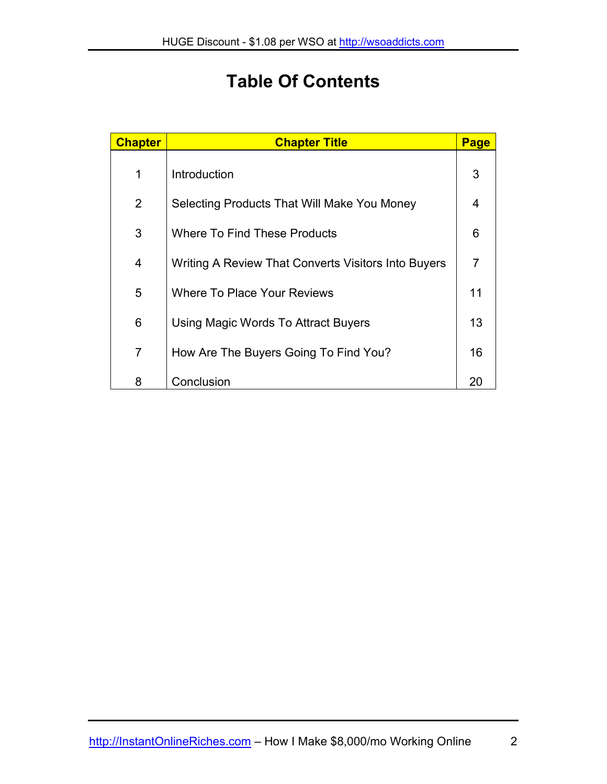# **Table Of Contents**

| <b>Chapter</b> | <b>Chapter Title</b>                                | <b>Page</b>    |
|----------------|-----------------------------------------------------|----------------|
| 1              | Introduction                                        | 3              |
| $\overline{2}$ | Selecting Products That Will Make You Money         | $\overline{4}$ |
| 3              | Where To Find These Products                        | 6              |
| 4              | Writing A Review That Converts Visitors Into Buyers | 7              |
| 5              | <b>Where To Place Your Reviews</b>                  | 11             |
| 6              | Using Magic Words To Attract Buyers                 | 13             |
| $\overline{7}$ | How Are The Buyers Going To Find You?               | 16             |
| 8              | Conclusion                                          | 20             |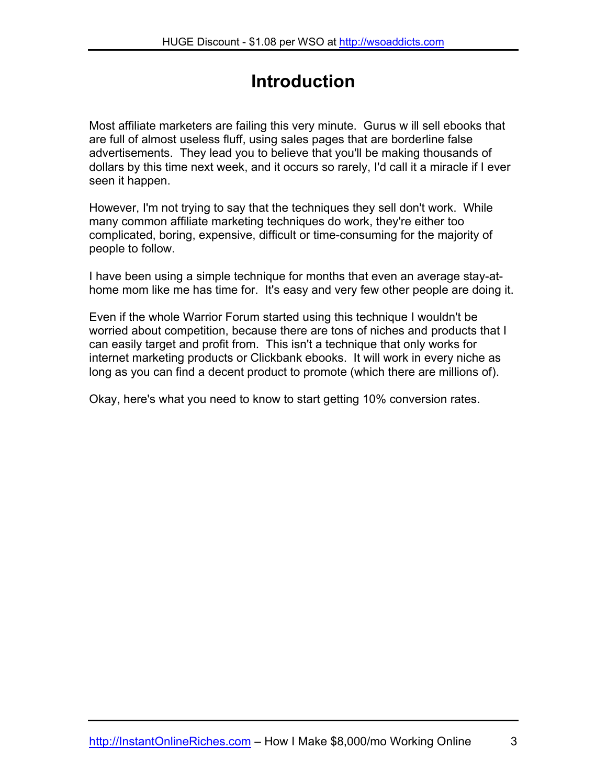# **Introduction**

Most affiliate marketers are failing this very minute. Gurus w ill sell ebooks that are full of almost useless fluff, using sales pages that are borderline false advertisements. They lead you to believe that you'll be making thousands of dollars by this time next week, and it occurs so rarely, I'd call it a miracle if I ever seen it happen.

However, I'm not trying to say that the techniques they sell don't work. While many common affiliate marketing techniques do work, they're either too complicated, boring, expensive, difficult or time-consuming for the majority of people to follow.

I have been using a simple technique for months that even an average stay-athome mom like me has time for. It's easy and very few other people are doing it.

Even if the whole Warrior Forum started using this technique I wouldn't be worried about competition, because there are tons of niches and products that I can easily target and profit from. This isn't a technique that only works for internet marketing products or Clickbank ebooks. It will work in every niche as long as you can find a decent product to promote (which there are millions of).

Okay, here's what you need to know to start getting 10% conversion rates.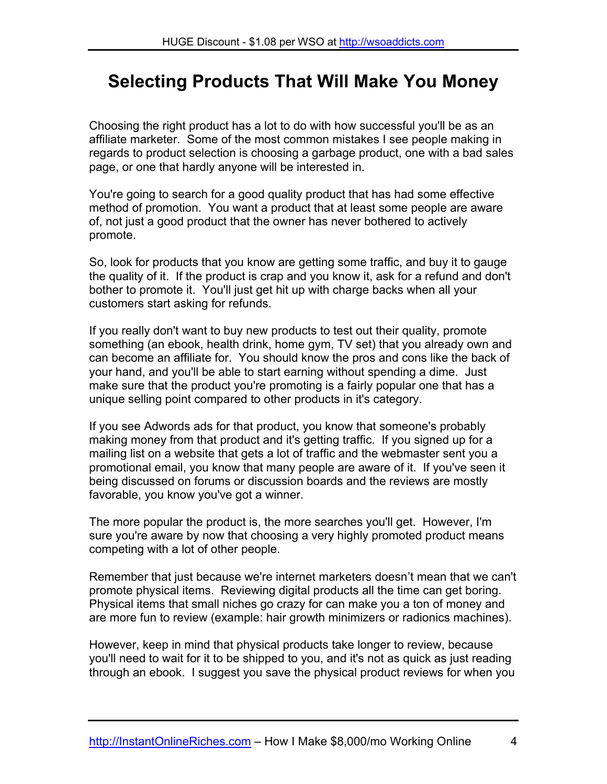# **Selecting Products That Will Make You Money**

Choosing the right product has a lot to do with how successful you'll be as an affiliate marketer. Some of the most common mistakes I see people making in regards to product selection is choosing a garbage product, one with a bad sales page, or one that hardly anyone will be interested in.

You're going to search for a good quality product that has had some effective method of promotion. You want a product that at least some people are aware of, not just a good product that the owner has never bothered to actively promote.

So, look for products that you know are getting some traffic, and buy it to gauge the quality of it. If the product is crap and you know it, ask for a refund and don't bother to promote it. You'll just get hit up with charge backs when all your customers start asking for refunds.

If you really don't want to buy new products to test out their quality, promote something (an ebook, health drink, home gym, TV set) that you already own and can become an affiliate for. You should know the pros and cons like the back of your hand, and you'll be able to start earning without spending a dime. Just make sure that the product you're promoting is a fairly popular one that has a unique selling point compared to other products in it's category.

If you see Adwords ads for that product, you know that someone's probably making money from that product and it's getting traffic. If you signed up for a mailing list on a website that gets a lot of traffic and the webmaster sent you a promotional email, you know that many people are aware of it. If you've seen it being discussed on forums or discussion boards and the reviews are mostly favorable, you know you've got a winner.

The more popular the product is, the more searches you'll get. However, I'm sure you're aware by now that choosing a very highly promoted product means competing with a lot of other people.

Remember that just because we're internet marketers doesn't mean that we can't promote physical items. Reviewing digital products all the time can get boring. Physical items that small niches go crazy for can make you a ton of money and are more fun to review (example: hair growth minimizers or radionics machines).

However, keep in mind that physical products take longer to review, because you'll need to wait for it to be shipped to you, and it's not as quick as just reading through an ebook. I suggest you save the physical product reviews for when you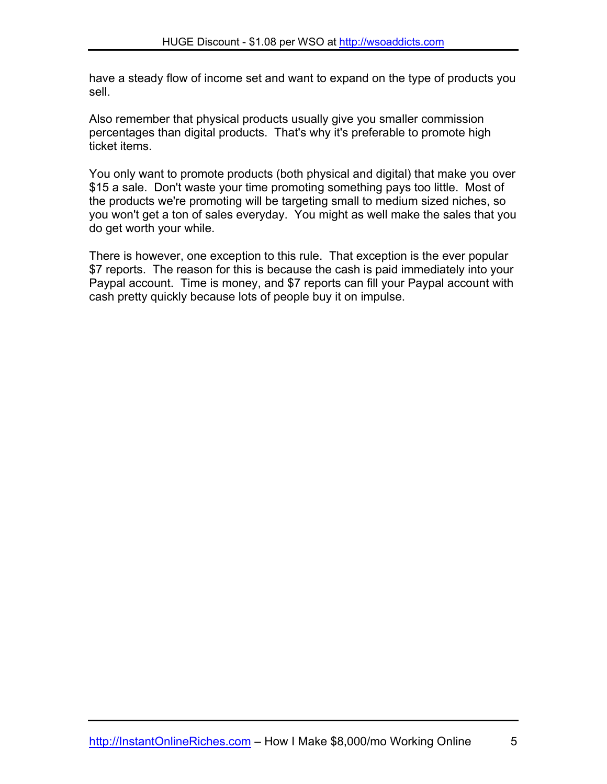have a steady flow of income set and want to expand on the type of products you sell.

Also remember that physical products usually give you smaller commission percentages than digital products. That's why it's preferable to promote high ticket items.

You only want to promote products (both physical and digital) that make you over \$15 a sale. Don't waste your time promoting something pays too little. Most of the products we're promoting will be targeting small to medium sized niches, so you won't get a ton of sales everyday. You might as well make the sales that you do get worth your while.

There is however, one exception to this rule. That exception is the ever popular \$7 reports. The reason for this is because the cash is paid immediately into your Paypal account. Time is money, and \$7 reports can fill your Paypal account with cash pretty quickly because lots of people buy it on impulse.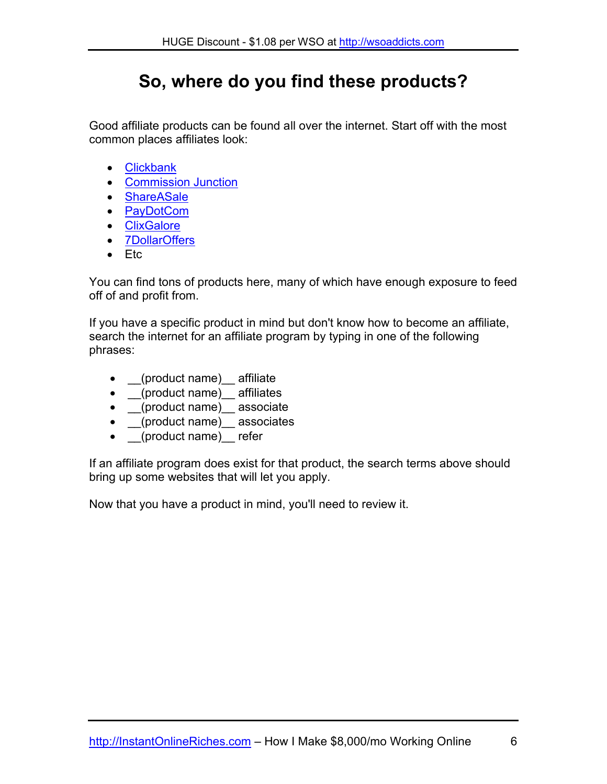# **So, where do you find these products?**

Good affiliate products can be found all over the internet. Start off with the most common places affiliates look:

- [Clickbank](http://clickbank.com/)
- [Commission Junction](http://cj.com/)
- [ShareASale](http://shareasale.com/)
- PavDotCom
- [ClixGalore](http://clixgalore.com/)
- [7DollarOffers](http://7dollaroffers.com/)
- $\bullet$  Etc

You can find tons of products here, many of which have enough exposure to feed off of and profit from.

If you have a specific product in mind but don't know how to become an affiliate, search the internet for an affiliate program by typing in one of the following phrases:

- \_(product name) affiliate
- \_(product name)\_ affiliates
- \_\_(product name)\_\_ associate
- **\_\_(product name)\_** associates
- (product name) refer

If an affiliate program does exist for that product, the search terms above should bring up some websites that will let you apply.

Now that you have a product in mind, you'll need to review it.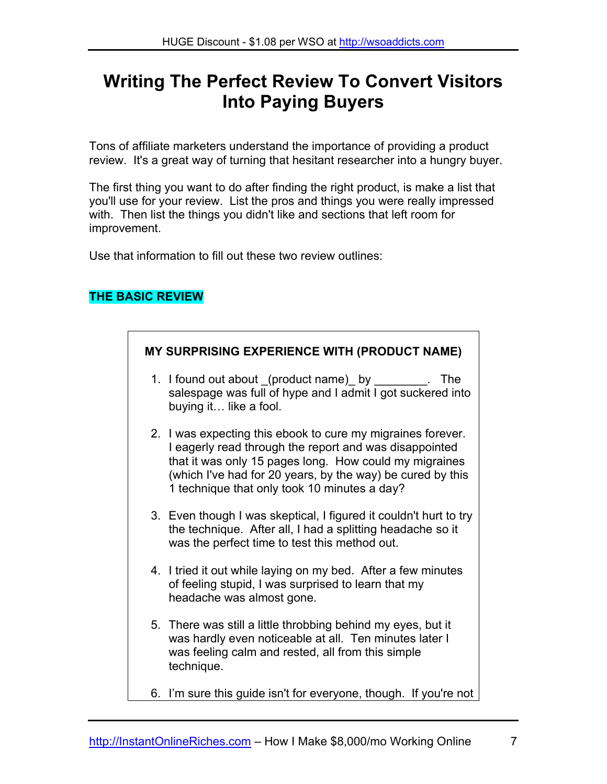# **Writing The Perfect Review To Convert Visitors Into Paying Buyers**

Tons of affiliate marketers understand the importance of providing a product review. It's a great way of turning that hesitant researcher into a hungry buyer.

The first thing you want to do after finding the right product, is make a list that you'll use for your review. List the pros and things you were really impressed with. Then list the things you didn't like and sections that left room for improvement.

Use that information to fill out these two review outlines:

#### **THE BASIC REVIEW**



- 1. I found out about (product name) by The salespage was full of hype and I admit I got suckered into buying it… like a fool.
- 2. I was expecting this ebook to cure my migraines forever. I eagerly read through the report and was disappointed that it was only 15 pages long. How could my migraines (which I've had for 20 years, by the way) be cured by this 1 technique that only took 10 minutes a day?
- 3. Even though I was skeptical, I figured it couldn't hurt to try the technique. After all, I had a splitting headache so it was the perfect time to test this method out.
- 4. I tried it out while laying on my bed. After a few minutes of feeling stupid, I was surprised to learn that my headache was almost gone.
- 5. There was still a little throbbing behind my eyes, but it was hardly even noticeable at all. Ten minutes later I was feeling calm and rested, all from this simple technique.
- 6. I'm sure this guide isn't for everyone, though. If you're not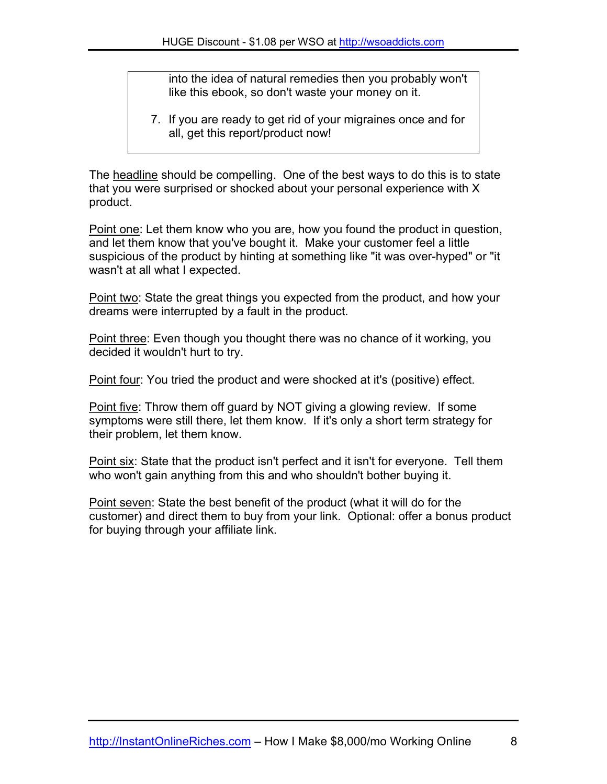into the idea of natural remedies then you probably won't like this ebook, so don't waste your money on it.

7. If you are ready to get rid of your migraines once and for all, get this report/product now!

The headline should be compelling. One of the best ways to do this is to state that you were surprised or shocked about your personal experience with X product.

Point one: Let them know who you are, how you found the product in question, and let them know that you've bought it. Make your customer feel a little suspicious of the product by hinting at something like "it was over-hyped" or "it wasn't at all what I expected.

Point two: State the great things you expected from the product, and how your dreams were interrupted by a fault in the product.

Point three: Even though you thought there was no chance of it working, you decided it wouldn't hurt to try.

Point four: You tried the product and were shocked at it's (positive) effect.

Point five: Throw them off guard by NOT giving a glowing review. If some symptoms were still there, let them know. If it's only a short term strategy for their problem, let them know.

Point six: State that the product isn't perfect and it isn't for everyone. Tell them who won't gain anything from this and who shouldn't bother buying it.

Point seven: State the best benefit of the product (what it will do for the customer) and direct them to buy from your link. Optional: offer a bonus product for buying through your affiliate link.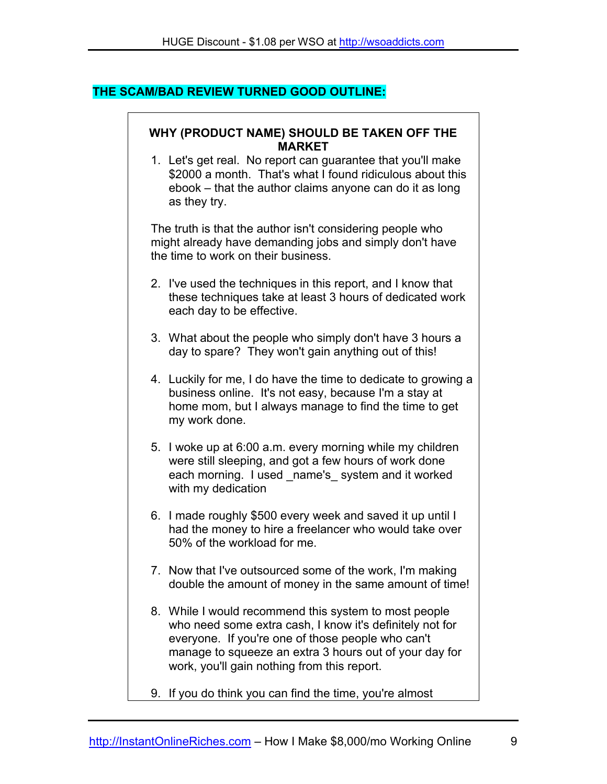#### **THE SCAM/BAD REVIEW TURNED GOOD OUTLINE:**

#### **WHY (PRODUCT NAME) SHOULD BE TAKEN OFF THE MARKET**

1. Let's get real. No report can guarantee that you'll make \$2000 a month. That's what I found ridiculous about this ebook – that the author claims anyone can do it as long as they try.

The truth is that the author isn't considering people who might already have demanding jobs and simply don't have the time to work on their business.

- 2. I've used the techniques in this report, and I know that these techniques take at least 3 hours of dedicated work each day to be effective.
- 3. What about the people who simply don't have 3 hours a day to spare? They won't gain anything out of this!
- 4. Luckily for me, I do have the time to dedicate to growing a business online. It's not easy, because I'm a stay at home mom, but I always manage to find the time to get my work done.
- 5. I woke up at 6:00 a.m. every morning while my children were still sleeping, and got a few hours of work done each morning. I used name's system and it worked with my dedication
- 6. I made roughly \$500 every week and saved it up until I had the money to hire a freelancer who would take over 50% of the workload for me.
- 7. Now that I've outsourced some of the work, I'm making double the amount of money in the same amount of time!
- 8. While I would recommend this system to most people who need some extra cash, I know it's definitely not for everyone. If you're one of those people who can't manage to squeeze an extra 3 hours out of your day for work, you'll gain nothing from this report.
- 9. If you do think you can find the time, you're almost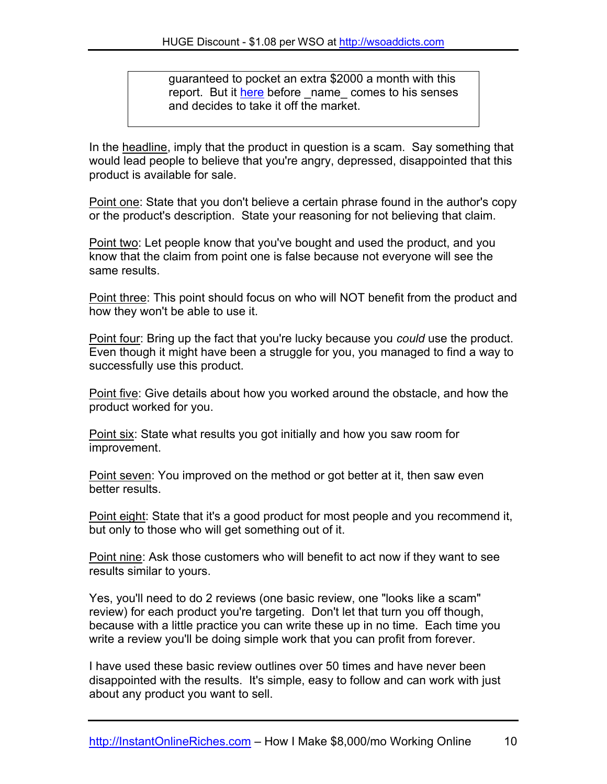guaranteed to pocket an extra \$2000 a month with this report. But it here before name comes to his senses and decides to take it off the market.

In the headline, imply that the product in question is a scam. Say something that would lead people to believe that you're angry, depressed, disappointed that this product is available for sale.

Point one: State that you don't believe a certain phrase found in the author's copy or the product's description. State your reasoning for not believing that claim.

Point two: Let people know that you've bought and used the product, and you know that the claim from point one is false because not everyone will see the same results.

Point three: This point should focus on who will NOT benefit from the product and how they won't be able to use it.

Point four: Bring up the fact that you're lucky because you *could* use the product. Even though it might have been a struggle for you, you managed to find a way to successfully use this product.

Point five: Give details about how you worked around the obstacle, and how the product worked for you.

Point six: State what results you got initially and how you saw room for improvement.

Point seven: You improved on the method or got better at it, then saw even better results.

Point eight: State that it's a good product for most people and you recommend it, but only to those who will get something out of it.

Point nine: Ask those customers who will benefit to act now if they want to see results similar to yours.

Yes, you'll need to do 2 reviews (one basic review, one "looks like a scam" review) for each product you're targeting. Don't let that turn you off though, because with a little practice you can write these up in no time. Each time you write a review you'll be doing simple work that you can profit from forever.

I have used these basic review outlines over 50 times and have never been disappointed with the results. It's simple, easy to follow and can work with just about any product you want to sell.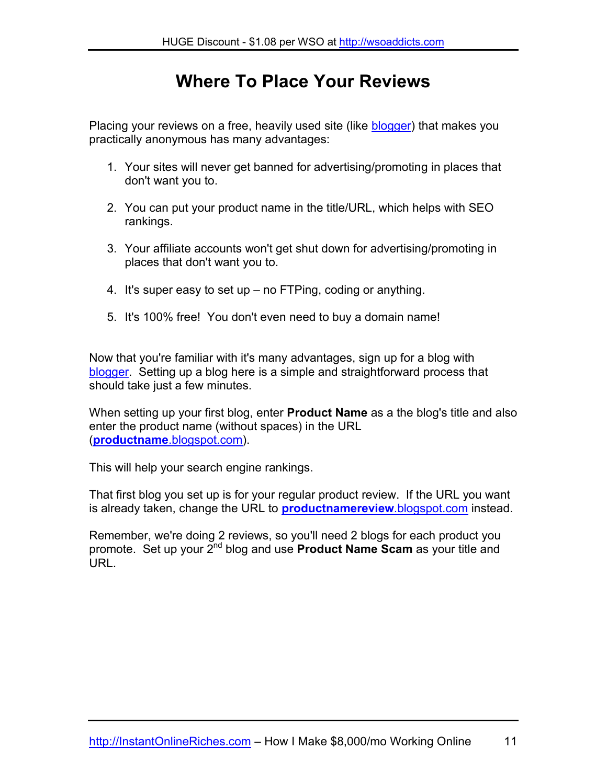# **Where To Place Your Reviews**

Placing your reviews on a free, heavily used site (like [blogger](http://blogger.com/)) that makes you practically anonymous has many advantages:

- 1. Your sites will never get banned for advertising/promoting in places that don't want you to.
- 2. You can put your product name in the title/URL, which helps with SEO rankings.
- 3. Your affiliate accounts won't get shut down for advertising/promoting in places that don't want you to.
- 4. It's super easy to set up no FTPing, coding or anything.
- 5. It's 100% free! You don't even need to buy a domain name!

Now that you're familiar with it's many advantages, sign up for a blog with [blogger.](http://blogger.com/) Setting up a blog here is a simple and straightforward process that should take just a few minutes.

When setting up your first blog, enter **Product Name** as a the blog's title and also enter the product name (without spaces) in the URL (**productname**.blogspot.com).

This will help your search engine rankings.

That first blog you set up is for your regular product review. If the URL you want is already taken, change the URL to **productnamereview**.blogspot.com instead.

Remember, we're doing 2 reviews, so you'll need 2 blogs for each product you promote. Set up your 2nd blog and use **Product Name Scam** as your title and URL.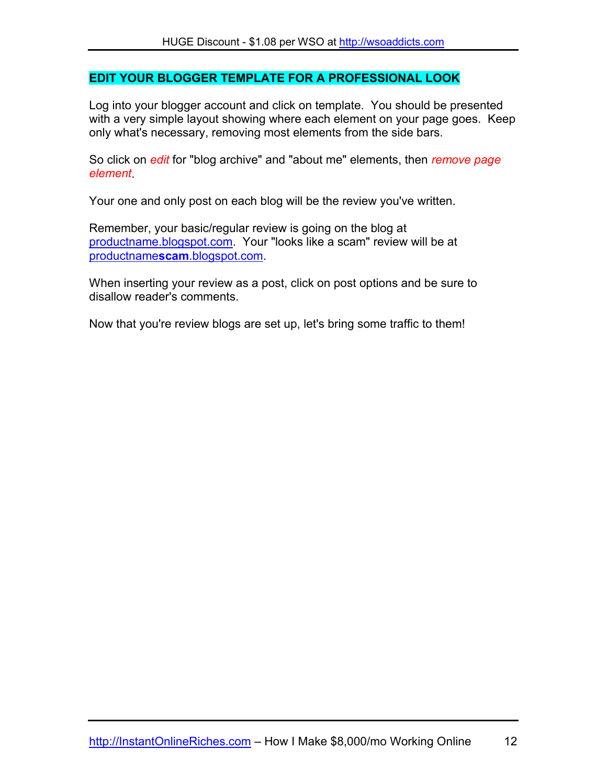#### **EDIT YOUR BLOGGER TEMPLATE FOR A PROFESSIONAL LOOK**

Log into your blogger account and click on template. You should be presented with a very simple layout showing where each element on your page goes. Keep only what's necessary, removing most elements from the side bars.

So click on *edit* for "blog archive" and "about me" elements, then *remove page element*.

Your one and only post on each blog will be the review you've written.

Remember, your basic/regular review is going on the blog at productname.blogspot.com. Your "looks like a scam" review will be at productname**scam**.blogspot.com.

When inserting your review as a post, click on post options and be sure to disallow reader's comments.

Now that you're review blogs are set up, let's bring some traffic to them!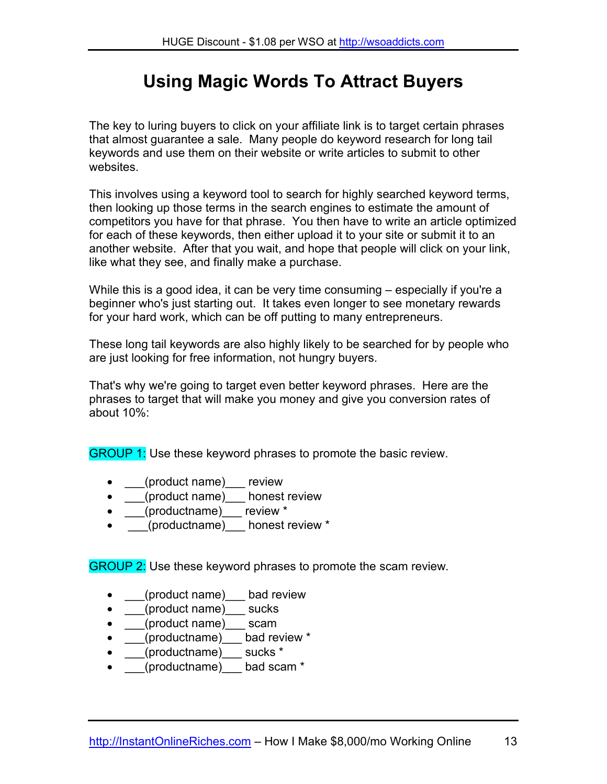# **Using Magic Words To Attract Buyers**

The key to luring buyers to click on your affiliate link is to target certain phrases that almost guarantee a sale. Many people do keyword research for long tail keywords and use them on their website or write articles to submit to other websites.

This involves using a keyword tool to search for highly searched keyword terms, then looking up those terms in the search engines to estimate the amount of competitors you have for that phrase. You then have to write an article optimized for each of these keywords, then either upload it to your site or submit it to an another website. After that you wait, and hope that people will click on your link, like what they see, and finally make a purchase.

While this is a good idea, it can be very time consuming – especially if you're a beginner who's just starting out. It takes even longer to see monetary rewards for your hard work, which can be off putting to many entrepreneurs.

These long tail keywords are also highly likely to be searched for by people who are just looking for free information, not hungry buyers.

That's why we're going to target even better keyword phrases. Here are the phrases to target that will make you money and give you conversion rates of about 10%:

GROUP 1: Use these keyword phrases to promote the basic review.

- \_\_\_(product name)\_\_\_ review
- (product name) honest review
- \_\_\_(productname)\_\_\_ review \*
- \_\_\_(productname)\_\_\_ honest review \*

GROUP 2: Use these keyword phrases to promote the scam review.

- \_\_\_(product name)\_\_\_ bad review
- \_\_\_(product name)\_\_\_ sucks
- (product name) scam
- (productname) bad review \*
- (productname) sucks \*
- \_\_\_(productname)\_\_\_ bad scam \*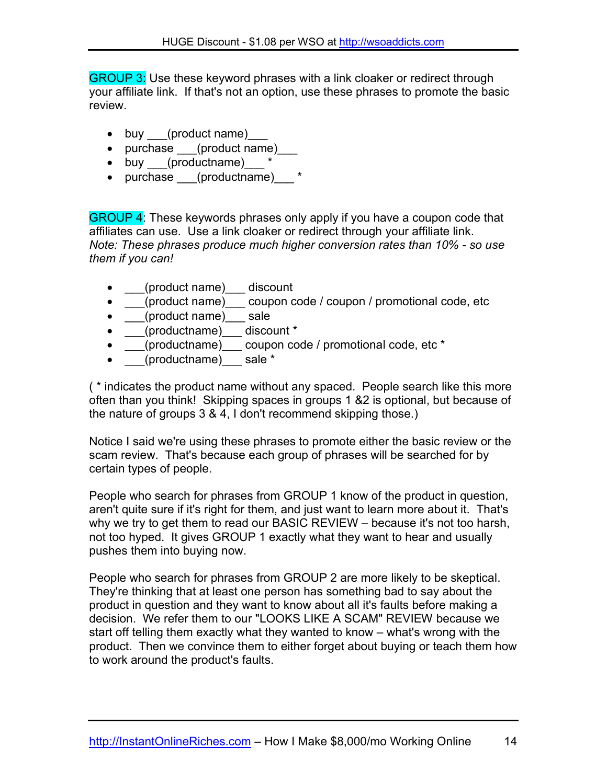GROUP 3: Use these keyword phrases with a link cloaker or redirect through your affiliate link. If that's not an option, use these phrases to promote the basic review.

- buy (product name)
- purchase (product name)
- $\bullet$  buy (productname) \*
- purchase (productname) \*

GROUP 4: These keywords phrases only apply if you have a coupon code that affiliates can use. Use a link cloaker or redirect through your affiliate link. *Note: These phrases produce much higher conversion rates than 10% - so use them if you can!*

- (product name) discount
- \_\_\_(product name)\_\_\_ coupon code / coupon / promotional code, etc
- (product name) \_\_ sale
- (productname) discount \*
- \_\_\_(productname)\_\_\_ coupon code / promotional code, etc \*
- $(production)$  sale  $*$

( \* indicates the product name without any spaced. People search like this more often than you think! Skipping spaces in groups 1 &2 is optional, but because of the nature of groups 3 & 4, I don't recommend skipping those.)

Notice I said we're using these phrases to promote either the basic review or the scam review. That's because each group of phrases will be searched for by certain types of people.

People who search for phrases from GROUP 1 know of the product in question, aren't quite sure if it's right for them, and just want to learn more about it. That's why we try to get them to read our BASIC REVIEW – because it's not too harsh, not too hyped. It gives GROUP 1 exactly what they want to hear and usually pushes them into buying now.

People who search for phrases from GROUP 2 are more likely to be skeptical. They're thinking that at least one person has something bad to say about the product in question and they want to know about all it's faults before making a decision. We refer them to our "LOOKS LIKE A SCAM" REVIEW because we start off telling them exactly what they wanted to know – what's wrong with the product. Then we convince them to either forget about buying or teach them how to work around the product's faults.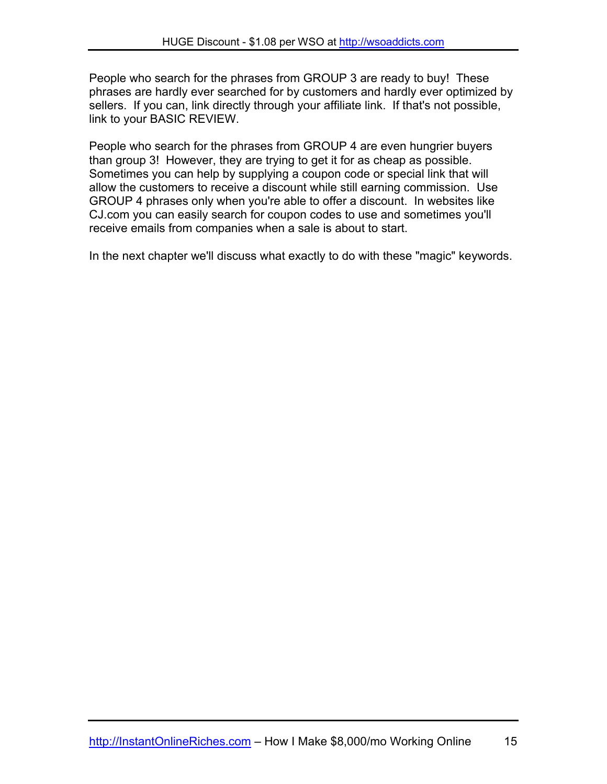People who search for the phrases from GROUP 3 are ready to buy! These phrases are hardly ever searched for by customers and hardly ever optimized by sellers. If you can, link directly through your affiliate link. If that's not possible, link to your BASIC REVIEW.

People who search for the phrases from GROUP 4 are even hungrier buyers than group 3! However, they are trying to get it for as cheap as possible. Sometimes you can help by supplying a coupon code or special link that will allow the customers to receive a discount while still earning commission. Use GROUP 4 phrases only when you're able to offer a discount. In websites like CJ.com you can easily search for coupon codes to use and sometimes you'll receive emails from companies when a sale is about to start.

In the next chapter we'll discuss what exactly to do with these "magic" keywords.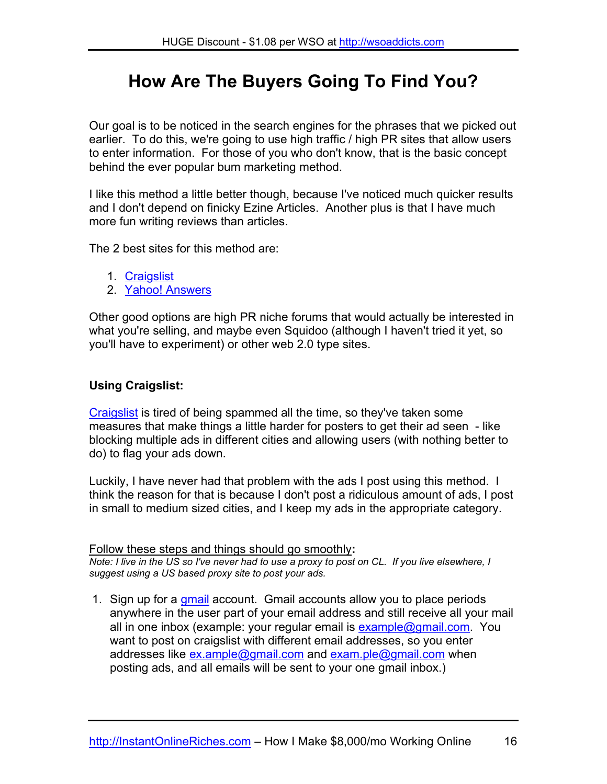# **How Are The Buyers Going To Find You?**

Our goal is to be noticed in the search engines for the phrases that we picked out earlier. To do this, we're going to use high traffic / high PR sites that allow users to enter information. For those of you who don't know, that is the basic concept behind the ever popular bum marketing method.

I like this method a little better though, because I've noticed much quicker results and I don't depend on finicky Ezine Articles. Another plus is that I have much more fun writing reviews than articles.

The 2 best sites for this method are:

- 1. [Craigslist](http://craigslist.com/)
- 2. [Yahoo! Answers](http://answers.yahoo.com/)

Other good options are high PR niche forums that would actually be interested in what you're selling, and maybe even Squidoo (although I haven't tried it yet, so you'll have to experiment) or other web 2.0 type sites.

#### **Using Craigslist:**

[Craigslist](http://craigslist.com/) is tired of being spammed all the time, so they've taken some measures that make things a little harder for posters to get their ad seen - like blocking multiple ads in different cities and allowing users (with nothing better to do) to flag your ads down.

Luckily, I have never had that problem with the ads I post using this method. I think the reason for that is because I don't post a ridiculous amount of ads, I post in small to medium sized cities, and I keep my ads in the appropriate category.

#### Follow these steps and things should go smoothly**:**

*Note: I live in the US so I've never had to use a proxy to post on CL. If you live elsewhere, I suggest using a US based proxy site to post your ads.*

1. Sign up for a [gmail](http://mail.google.com/) account. Gmail accounts allow you to place periods anywhere in the user part of your email address and still receive all your mail all in one inbox (example: your regular email is [example@gmail.com](mailto:example@gmail.com). You want to post on craigslist with different email addresses, so you enter addresses like [ex.ample@gmail.com](mailto:ex.ample@gmail.com) and [exam.ple@gmail.com](mailto:exam.ple@gmail.com) when posting ads, and all emails will be sent to your one gmail inbox.)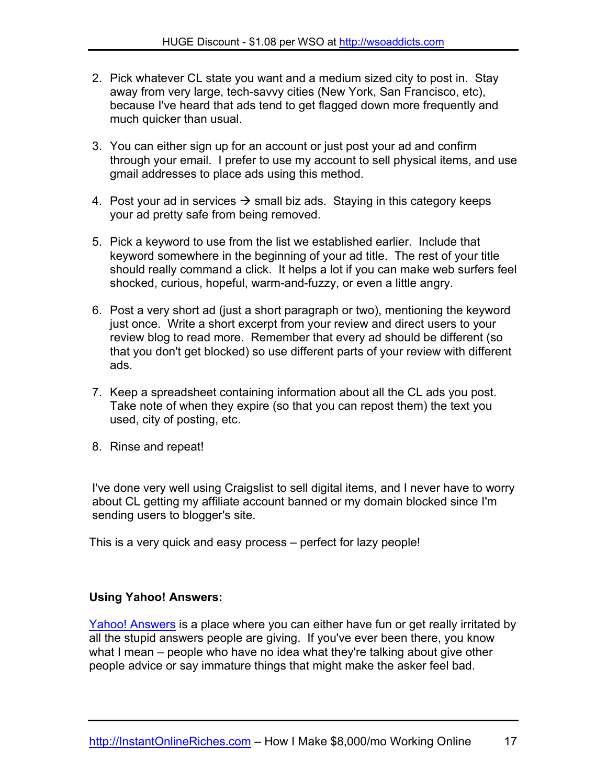- 2. Pick whatever CL state you want and a medium sized city to post in. Stay away from very large, tech-savvy cities (New York, San Francisco, etc), because I've heard that ads tend to get flagged down more frequently and much quicker than usual.
- 3. You can either sign up for an account or just post your ad and confirm through your email. I prefer to use my account to sell physical items, and use gmail addresses to place ads using this method.
- 4. Post your ad in services  $\rightarrow$  small biz ads. Staying in this category keeps your ad pretty safe from being removed.
- 5. Pick a keyword to use from the list we established earlier. Include that keyword somewhere in the beginning of your ad title. The rest of your title should really command a click. It helps a lot if you can make web surfers feel shocked, curious, hopeful, warm-and-fuzzy, or even a little angry.
- 6. Post a very short ad (just a short paragraph or two), mentioning the keyword just once. Write a short excerpt from your review and direct users to your review blog to read more. Remember that every ad should be different (so that you don't get blocked) so use different parts of your review with different ads.
- 7. Keep a spreadsheet containing information about all the CL ads you post. Take note of when they expire (so that you can repost them) the text you used, city of posting, etc.
- 8. Rinse and repeat!

I've done very well using Craigslist to sell digital items, and I never have to worry about CL getting my affiliate account banned or my domain blocked since I'm sending users to blogger's site.

This is a very quick and easy process – perfect for lazy people!

#### **Using Yahoo! Answers:**

[Yahoo! Answers](http://answers.yahoo.com/) is a place where you can either have fun or get really irritated by all the stupid answers people are giving. If you've ever been there, you know what I mean – people who have no idea what they're talking about give other people advice or say immature things that might make the asker feel bad.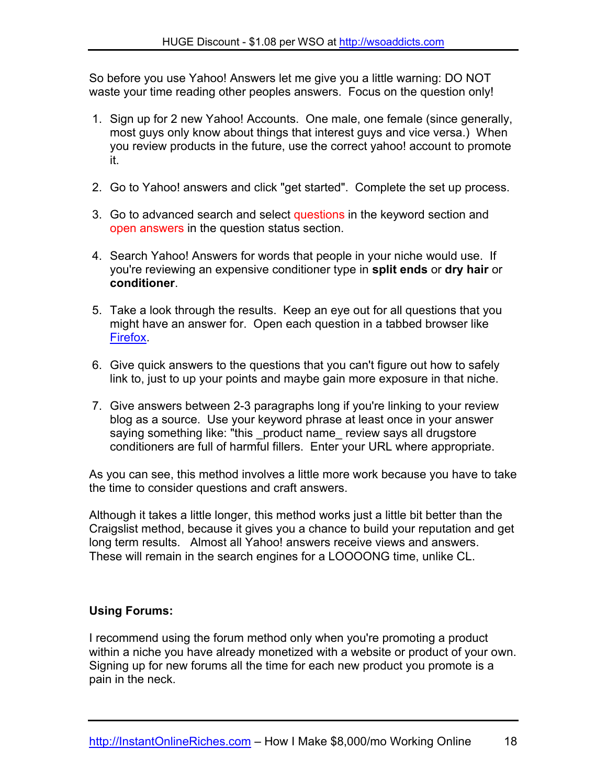So before you use Yahoo! Answers let me give you a little warning: DO NOT waste your time reading other peoples answers. Focus on the question only!

- 1. Sign up for 2 new Yahoo! Accounts. One male, one female (since generally, most guys only know about things that interest guys and vice versa.) When you review products in the future, use the correct yahoo! account to promote it.
- 2. Go to Yahoo! answers and click "get started". Complete the set up process.
- 3. Go to advanced search and select questions in the keyword section and open answers in the question status section.
- 4. Search Yahoo! Answers for words that people in your niche would use. If you're reviewing an expensive conditioner type in **split ends** or **dry hair** or **conditioner**.
- 5. Take a look through the results. Keep an eye out for all questions that you might have an answer for. Open each question in a tabbed browser like **[Firefox](http://www.mozilla.com/en-US/firefox/)**
- 6. Give quick answers to the questions that you can't figure out how to safely link to, just to up your points and maybe gain more exposure in that niche.
- 7. Give answers between 2-3 paragraphs long if you're linking to your review blog as a source. Use your keyword phrase at least once in your answer saying something like: "this \_product name \_review says all drugstore conditioners are full of harmful fillers. Enter your URL where appropriate.

As you can see, this method involves a little more work because you have to take the time to consider questions and craft answers.

Although it takes a little longer, this method works just a little bit better than the Craigslist method, because it gives you a chance to build your reputation and get long term results. Almost all Yahoo! answers receive views and answers. These will remain in the search engines for a LOOOONG time, unlike CL.

#### **Using Forums:**

I recommend using the forum method only when you're promoting a product within a niche you have already monetized with a website or product of your own. Signing up for new forums all the time for each new product you promote is a pain in the neck.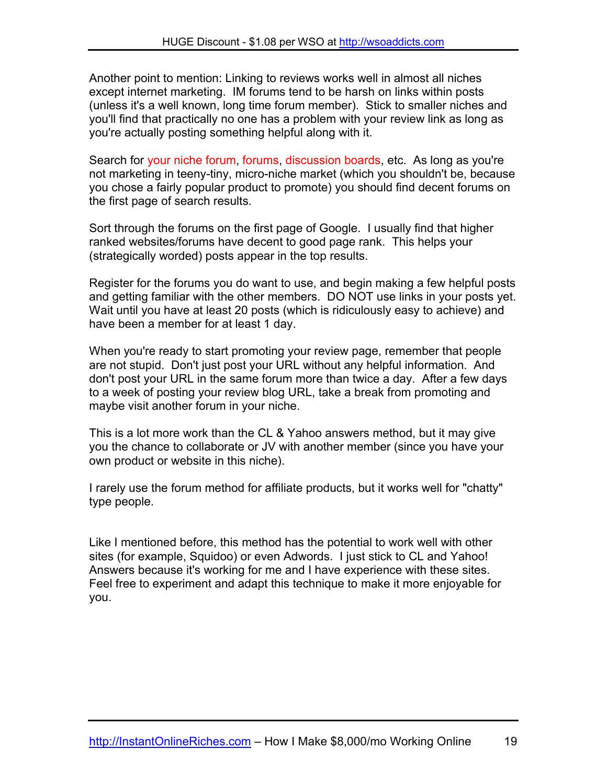Another point to mention: Linking to reviews works well in almost all niches except internet marketing. IM forums tend to be harsh on links within posts (unless it's a well known, long time forum member). Stick to smaller niches and you'll find that practically no one has a problem with your review link as long as you're actually posting something helpful along with it.

Search for your niche forum, forums, discussion boards, etc. As long as you're not marketing in teeny-tiny, micro-niche market (which you shouldn't be, because you chose a fairly popular product to promote) you should find decent forums on the first page of search results.

Sort through the forums on the first page of Google. I usually find that higher ranked websites/forums have decent to good page rank. This helps your (strategically worded) posts appear in the top results.

Register for the forums you do want to use, and begin making a few helpful posts and getting familiar with the other members. DO NOT use links in your posts yet. Wait until you have at least 20 posts (which is ridiculously easy to achieve) and have been a member for at least 1 day.

When you're ready to start promoting your review page, remember that people are not stupid. Don't just post your URL without any helpful information. And don't post your URL in the same forum more than twice a day. After a few days to a week of posting your review blog URL, take a break from promoting and maybe visit another forum in your niche.

This is a lot more work than the CL & Yahoo answers method, but it may give you the chance to collaborate or JV with another member (since you have your own product or website in this niche).

I rarely use the forum method for affiliate products, but it works well for "chatty" type people.

Like I mentioned before, this method has the potential to work well with other sites (for example, Squidoo) or even Adwords. I just stick to CL and Yahoo! Answers because it's working for me and I have experience with these sites. Feel free to experiment and adapt this technique to make it more enjoyable for you.